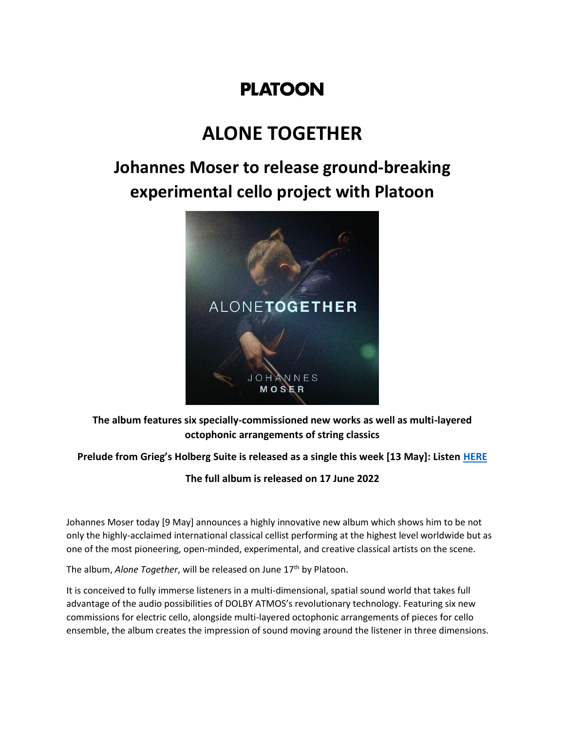# **PLATOON**

# **ALONE TOGETHER**

# **Johannes Moser to release ground-breaking experimental cello project with Platoon**



**The album features six specially-commissioned new works as well as multi-layered octophonic arrangements of string classics**

## **Prelude from Grieg's Holberg Suite is released as a single this week [13 May]: Listen [HERE](https://platoon.lnk.to/alonetogether)**

**The full album is released on 17 June 2022**

Johannes Moser today [9 May] announces a highly innovative new album which shows him to be not only the highly-acclaimed international classical cellist performing at the highest level worldwide but as one of the most pioneering, open-minded, experimental, and creative classical artists on the scene.

The album, *Alone Together*, will be released on June 17<sup>th</sup> by Platoon.

It is conceived to fully immerse listeners in a multi-dimensional, spatial sound world that takes full advantage of the audio possibilities of DOLBY ATMOS's revolutionary technology. Featuring six new commissions for electric cello, alongside multi-layered octophonic arrangements of pieces for cello ensemble, the album creates the impression of sound moving around the listener in three dimensions.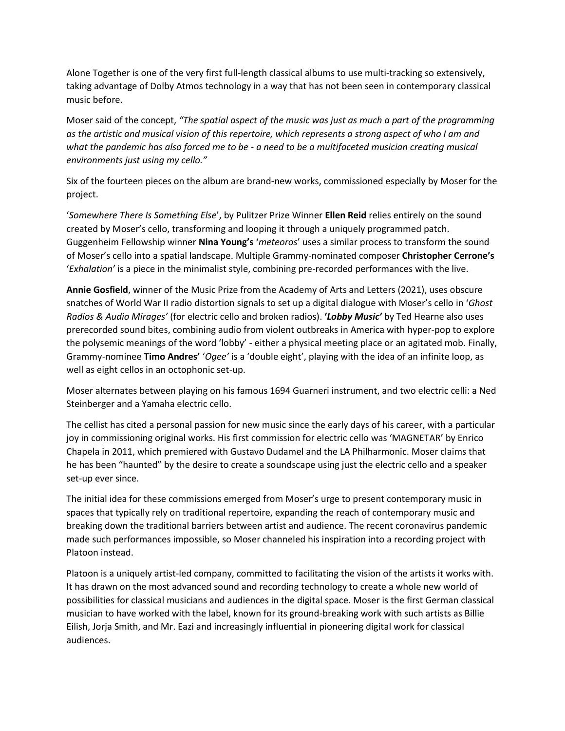Alone Together is one of the very first full-length classical albums to use multi-tracking so extensively, taking advantage of Dolby Atmos technology in a way that has not been seen in contemporary classical music before.

Moser said of the concept, *"The spatial aspect of the music was just as much a part of the programming as the artistic and musical vision of this repertoire, which represents a strong aspect of who I am and what the pandemic has also forced me to be - a need to be a multifaceted musician creating musical environments just using my cello."*

Six of the fourteen pieces on the album are brand-new works, commissioned especially by Moser for the project.

'*Somewhere There Is Something Else*', by Pulitzer Prize Winner **Ellen Reid** relies entirely on the sound created by Moser's cello, transforming and looping it through a uniquely programmed patch. Guggenheim Fellowship winner **Nina Young's** '*meteoros*' uses a similar process to transform the sound of Moser's cello into a spatial landscape. Multiple Grammy-nominated composer **Christopher Cerrone's** '*Exhalation'* is a piece in the minimalist style, combining pre-recorded performances with the live.

**Annie Gosfield**, winner of the Music Prize from the Academy of Arts and Letters (2021), uses obscure snatches of World War II radio distortion signals to set up a digital dialogue with Moser's cello in '*Ghost Radios & Audio Mirages'* (for electric cello and broken radios). **'***Lobby Music'* by Ted Hearne also uses prerecorded sound bites, combining audio from violent outbreaks in America with hyper-pop to explore the polysemic meanings of the word 'lobby' - either a physical meeting place or an agitated mob. Finally, Grammy-nominee **Timo Andres'** '*Ogee'* is a 'double eight', playing with the idea of an infinite loop, as well as eight cellos in an octophonic set-up.

Moser alternates between playing on his famous 1694 Guarneri instrument, and two electric celli: a Ned Steinberger and a Yamaha electric cello.

The cellist has cited a personal passion for new music since the early days of his career, with a particular joy in commissioning original works. His first commission for electric cello was 'MAGNETAR' by Enrico Chapela in 2011, which premiered with Gustavo Dudamel and the LA Philharmonic. Moser claims that he has been "haunted" by the desire to create a soundscape using just the electric cello and a speaker set-up ever since.

The initial idea for these commissions emerged from Moser's urge to present contemporary music in spaces that typically rely on traditional repertoire, expanding the reach of contemporary music and breaking down the traditional barriers between artist and audience. The recent coronavirus pandemic made such performances impossible, so Moser channeled his inspiration into a recording project with Platoon instead.

Platoon is a uniquely artist-led company, committed to facilitating the vision of the artists it works with. It has drawn on the most advanced sound and recording technology to create a whole new world of possibilities for classical musicians and audiences in the digital space. Moser is the first German classical musician to have worked with the label, known for its ground-breaking work with such artists as Billie Eilish, Jorja Smith, and Mr. Eazi and increasingly influential in pioneering digital work for classical audiences.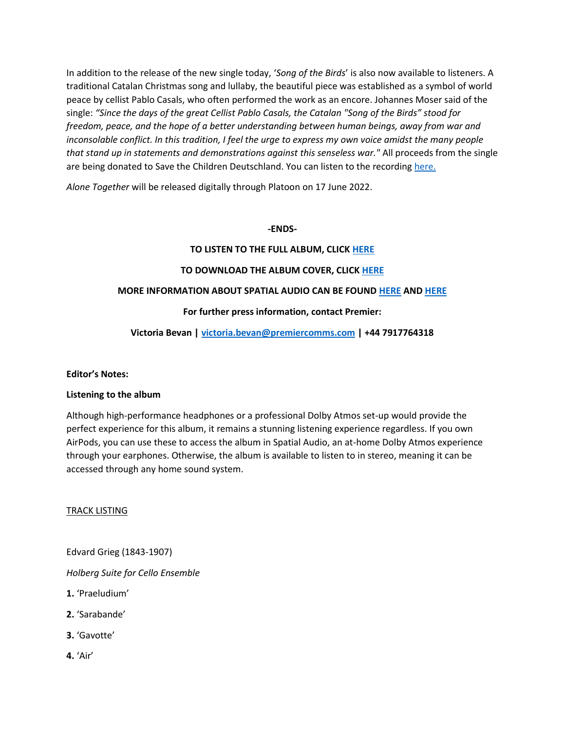In addition to the release of the new single today, '*Song of the Birds*' is also now available to listeners. A traditional Catalan Christmas song and lullaby, the beautiful piece was established as a symbol of world peace by cellist Pablo Casals, who often performed the work as an encore. Johannes Moser said of the single: *"Since the days of the great Cellist Pablo Casals, the Catalan "Song of the Birds" stood for freedom, peace, and the hope of a better understanding between human beings, away from war and inconsolable conflict. In this tradition, I feel the urge to express my own voice amidst the many people that stand up in statements and demonstrations against this senseless war."* All proceeds from the single are being donated to Save the Children Deutschland. You can listen to the recording [here.](https://platoon.lnk.to/songofthebirds)

*Alone Together* will be released digitally through Platoon on 17 June 2022.

#### **-ENDS-**

#### **TO LISTEN TO THE FULL ALBUM, CLICK [HERE](https://platoon.fm/stealth-player/johannes-moser/johannes-moser-alone-together/d3822106)**

#### **TO DOWNLOAD THE ALBUM COVER, CLIC[K HERE](https://www.dropbox.com/s/pp6auaiw895tzxd/Alone%20Together%20Cover%20Art.jpg?dl=0)**

#### **MORE INFORMATION ABOUT SPATIAL AUDIO CAN BE FOUND [HERE](https://www.apple.com/uk/newsroom/2021/05/apple-music-announces-spatial-audio-and-lossless-audio/) AN[D HERE](https://www.apple.com/uk/newsroom/2021/06/apple-musics-zane-lowe-explains-how-spatial-audio-will-transform-music/)**

#### **For further press information, contact Premier:**

### **Victoria Bevan | [victoria.bevan@premiercomms.com](mailto:victoria.bevan@premiercomms.com) | +44 7917764318**

#### **Editor's Notes:**

#### **Listening to the album**

Although high-performance headphones or a professional Dolby Atmos set-up would provide the perfect experience for this album, it remains a stunning listening experience regardless. If you own AirPods, you can use these to access the album in Spatial Audio, an at-home Dolby Atmos experience through your earphones. Otherwise, the album is available to listen to in stereo, meaning it can be accessed through any home sound system.

#### TRACK LISTING

Edvard Grieg (1843-1907)

*Holberg Suite for Cello Ensemble*

- **1.** 'Praeludium'
- **2.** 'Sarabande'
- **3.** 'Gavotte'
- **4.** 'Air'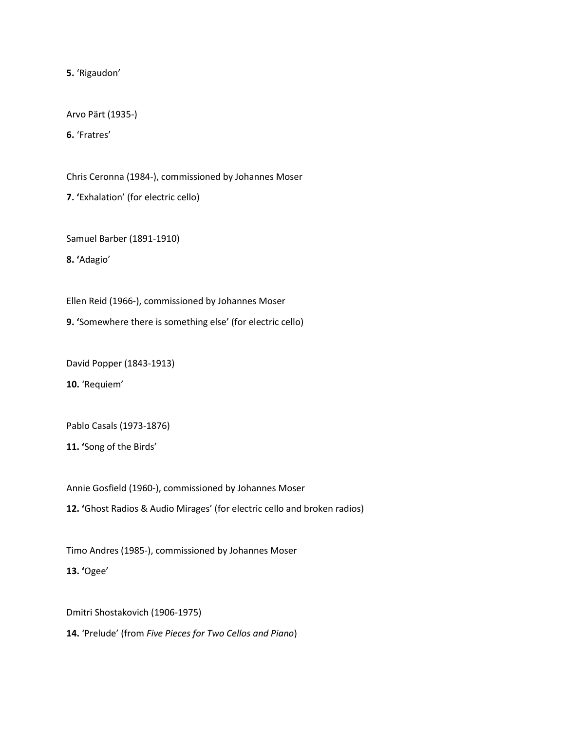**5.** 'Rigaudon'

Arvo Pärt (1935-)

**6.** 'Fratres'

Chris Ceronna (1984-), commissioned by Johannes Moser

**7. '**Exhalation' (for electric cello)

Samuel Barber (1891-1910)

**8. '**Adagio'

Ellen Reid (1966-), commissioned by Johannes Moser

**9. '**Somewhere there is something else' (for electric cello)

David Popper (1843-1913)

**10.** 'Requiem'

Pablo Casals (1973-1876)

**11. '**Song of the Birds'

Annie Gosfield (1960-), commissioned by Johannes Moser

**12. '**Ghost Radios & Audio Mirages' (for electric cello and broken radios)

Timo Andres (1985-), commissioned by Johannes Moser

**13. '**Ogee'

Dmitri Shostakovich (1906-1975)

**14.** 'Prelude' (from *Five Pieces for Two Cellos and Piano*)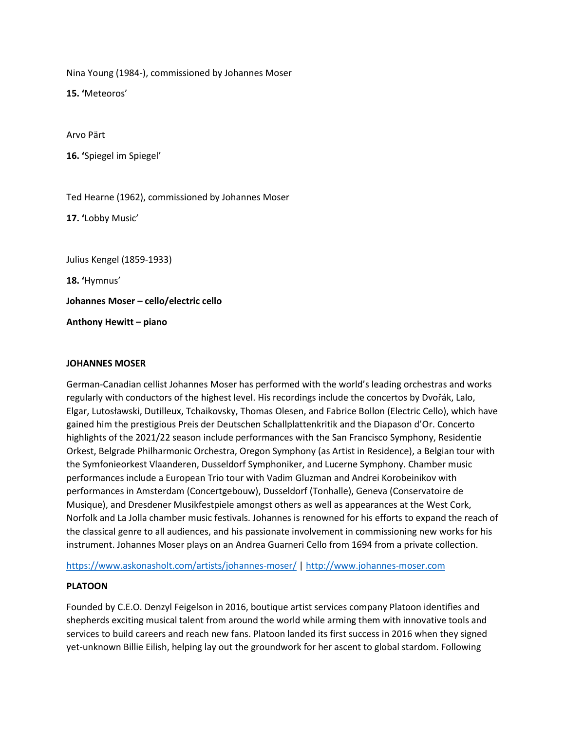Nina Young (1984-), commissioned by Johannes Moser

**15. '**Meteoros'

Arvo Pärt

**16. '**Spiegel im Spiegel'

Ted Hearne (1962), commissioned by Johannes Moser

**17. '**Lobby Music'

Julius Kengel (1859-1933)

**18. '**Hymnus'

**Johannes Moser – cello/electric cello**

**Anthony Hewitt – piano**

#### **JOHANNES MOSER**

German-Canadian cellist Johannes Moser has performed with the world's leading orchestras and works regularly with conductors of the highest level. His recordings include the concertos by Dvořák, Lalo, Elgar, Lutosławski, Dutilleux, Tchaikovsky, Thomas Olesen, and Fabrice Bollon (Electric Cello), which have gained him the prestigious Preis der Deutschen Schallplattenkritik and the Diapason d'Or. Concerto highlights of the 2021/22 season include performances with the San Francisco Symphony, Residentie Orkest, Belgrade Philharmonic Orchestra, Oregon Symphony (as Artist in Residence), a Belgian tour with the Symfonieorkest Vlaanderen, Dusseldorf Symphoniker, and Lucerne Symphony. Chamber music performances include a European Trio tour with Vadim Gluzman and Andrei Korobeinikov with performances in Amsterdam (Concertgebouw), Dusseldorf (Tonhalle), Geneva (Conservatoire de Musique), and Dresdener Musikfestpiele amongst others as well as appearances at the West Cork, Norfolk and La Jolla chamber music festivals. Johannes is renowned for his efforts to expand the reach of the classical genre to all audiences, and his passionate involvement in commissioning new works for his instrument. Johannes Moser plays on an Andrea Guarneri Cello from 1694 from a private collection.

<https://www.askonasholt.com/artists/johannes-moser/> [| http://www.johannes-moser.com](http://www.johannes-moser.com/)

### **PLATOON**

Founded by C.E.O. Denzyl Feigelson in 2016, boutique artist services company Platoon identifies and shepherds exciting musical talent from around the world while arming them with innovative tools and services to build careers and reach new fans. Platoon landed its first success in 2016 when they signed yet-unknown Billie Eilish, helping lay out the groundwork for her ascent to global stardom. Following